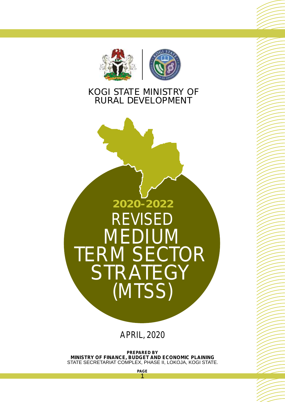



## KOGI STATE MINISTRY OF RURAL DEVELOPMENT



APRIL, 2020

**PREPARED BY MINISTRY OF FINANCE, BUDGET AND ECONOMIC PLAINING**  STATE SECRETARIAT COMPLEX, PHASE II, LOKOJA, KOGI STATE.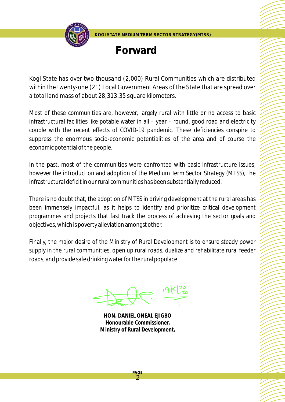

**Forward**

Kogi State has over two thousand (2,000) Rural Communities which are distributed within the twenty-one (21) Local Government Areas of the State that are spread over a total land mass of about 28,313.35 square kilometers.

Most of these communities are, however, largely rural with little or no access to basic infrastructural facilities like potable water in all – year – round, good road and electricity couple with the recent effects of COVID-19 pandemic. These deficiencies conspire to suppress the enormous socio-economic potentialities of the area and of course the economic potential of the people.

In the past, most of the communities were confronted with basic infrastructure issues, however the introduction and adoption of the Medium Term Sector Strategy (MTSS), the infrastructural deficit in our rural communities has been substantially reduced.

There is no doubt that, the adoption of MTSS in driving development at the rural areas has been immensely impactful, as it helps to identify and prioritize critical development programmes and projects that fast track the process of achieving the sector goals and objectives, which is poverty alleviation amongst other.

Finally, the major desire of the Ministry of Rural Development is to ensure steady power supply in the rural communities, open up rural roads, dualize and rehabilitate rural feeder roads, and provide safe drinking water for the rural populace.

**HON. DANIEL ONEAL EJIGBO Honourable Commissioner, Ministry of Rural Development,**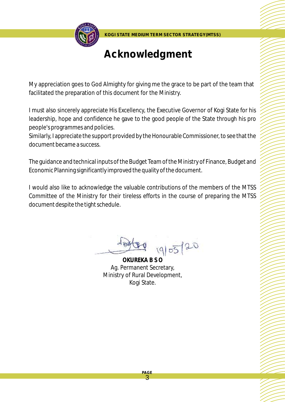

# **Acknowledgment**

My appreciation goes to God Almighty for giving me the grace to be part of the team that facilitated the preparation of this document for the Ministry.

I must also sincerely appreciate His Excellency, the Executive Governor of Kogi State for his leadership, hope and confidence he gave to the good people of the State through his pro people's programmes and policies.

Similarly, I appreciate the support provided by the Honourable Commissioner, to see that the document became a success.

The guidance and technical inputs of the Budget Team of the Ministry of Finance, Budget and Economic Planning significantly improved the quality of the document.

I would also like to acknowledge the valuable contributions of the members of the MTSS Committee of the Ministry for their tireless efforts in the course of preparing the MTSS document despite the tight schedule.

19/05/20

**OKUREKA B S O** Ag. Permanent Secretary, Ministry of Rural Development, Kogi State.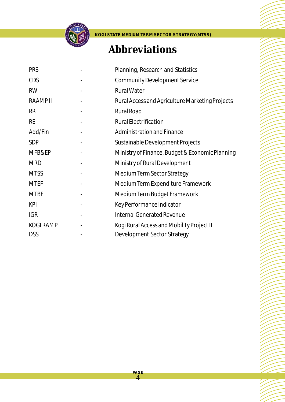

# **Abbreviations**

| <b>PRS</b>      | Planning, Research and Statistics               |
|-----------------|-------------------------------------------------|
| <b>CDS</b>      | <b>Community Development Service</b>            |
| <b>RW</b>       | <b>Rural Water</b>                              |
| <b>RAAMPII</b>  | Rural Access and Agriculture Marketing Projects |
| <b>RR</b>       | <b>Rural Road</b>                               |
| <b>RE</b>       | <b>Rural Electrification</b>                    |
| Add/Fin         | <b>Administration and Finance</b>               |
| <b>SDP</b>      | Sustainable Development Projects                |
| MFB&EP          | Ministry of Finance, Budget & Economic Planning |
| <b>MRD</b>      | Ministry of Rural Development                   |
| <b>MTSS</b>     | Medium Term Sector Strategy                     |
| <b>MTEF</b>     | Medium Term Expenditure Framework               |
| <b>MTBF</b>     | Medium Term Budget Framework                    |
| <b>KPI</b>      | Key Performance Indicator                       |
| <b>IGR</b>      | <b>Internal Generated Revenue</b>               |
| <b>KOGIRAMP</b> | Kogi Rural Access and Mobility Project II       |
| <b>DSS</b>      | Development Sector Strategy                     |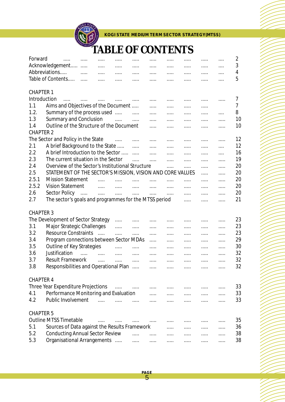

# **TABLE OF CONTENTS**

| Forward          | <b><i>Channel Committee</i></b>                           | $\cdots$<br>.                              | .                                                       | .                                                                                 | .                                    | .                                                   | .                                                         | .                                                         | $\cdots$   | 2              |
|------------------|-----------------------------------------------------------|--------------------------------------------|---------------------------------------------------------|-----------------------------------------------------------------------------------|--------------------------------------|-----------------------------------------------------|-----------------------------------------------------------|-----------------------------------------------------------|------------|----------------|
|                  | Acknowledgement                                           |                                            | $\cdots$                                                | $\cdots$                                                                          | $\cdots$                             | $\cdots$                                            | $\cdots$                                                  | .                                                         | $\cdots$   | 3              |
|                  | Abbreviations                                             | $\mathcal{L} = \mathcal{L}$<br>$\cdots$    | $\ldots$                                                | $\ldots$                                                                          | $\cdots$                             | $\cdots$                                            | $\ldots$ .<br><br><br><br><br><br><br><br><br><br>        | .                                                         | $\cdots$   | 4              |
|                  | Table of Contents                                         | $\cdots$                                   | .                                                       | $\ldots$ .                                                                        | .                                    | .                                                   | $\cdots$                                                  | .                                                         | $\cdots$   | 5              |
|                  |                                                           |                                            |                                                         |                                                                                   |                                      |                                                     |                                                           |                                                           |            |                |
| <b>CHAPTER 1</b> |                                                           |                                            |                                                         |                                                                                   |                                      |                                                     |                                                           |                                                           |            |                |
| Introduction     |                                                           | المتماز والمتمرد والمتمرد والمتمرد والمتمر |                                                         |                                                                                   | $\cdots$                             | $\cdots$                                            | $\cdots$                                                  | $\cdots$                                                  | .          | 7              |
| 1.1              | Aims and Objectives of the Document                       |                                            |                                                         |                                                                                   | .                                    | $\cdots$                                            | $\cdots$                                                  | .                                                         |            | $\overline{7}$ |
| 1.2.             | Summary of the process used                               |                                            |                                                         | $\ldots$                                                                          | .                                    | <b>Savan Common</b>                                 |                                                           | .                                                         | $\cdots$   | 8              |
| 1.3              | Summary and Conclusion                                    |                                            | $\sim$ $\sim$ $\sim$                                    | $\cdots$                                                                          | <b>.</b>                             | $\ldots$                                            | $\ldots$                                                  | .                                                         | .          | 10             |
| 1.4              | Outline of the Structure of the Document                  |                                            |                                                         |                                                                                   | .                                    | .                                                   | .                                                         | .                                                         | .          | 10             |
| <b>CHAPTER 2</b> |                                                           |                                            |                                                         |                                                                                   |                                      |                                                     |                                                           |                                                           |            |                |
|                  | The Sector and Policy in the State                        |                                            |                                                         |                                                                                   | $\ldots$                             |                                                     |                                                           |                                                           | .          | 12             |
| 2.1              | A brief Background to the State                           |                                            |                                                         |                                                                                   |                                      | $\cdots$                                            | $\cdots$                                                  | .                                                         |            | 12             |
| 2.2              | A brief Introduction to the Sector                        |                                            |                                                         | $\cdots$                                                                          | $\ldots$                             | $\ldots$                                            | $\ldots$                                                  | .                                                         | $\cdots$   | 16             |
| 2.3              | The current situation in the Sector                       |                                            |                                                         | $\ldots$                                                                          | $\ldots$ . The set of $\mathbb{R}^n$ | $\ldots$ . The set of $\mathbb{R}^n$                | $\ldots$                                                  | .                                                         | $\cdots$   | 19             |
|                  | Overview of the Sector's Institutional Structure          |                                            |                                                         |                                                                                   | $\ldots$                             | $\ldots$                                            | $\ldots$ .                                                | .                                                         | .          |                |
| 2.4              |                                                           |                                            |                                                         |                                                                                   |                                      | .                                                   | <b></b>                                                   | .                                                         | .          | 20             |
| 2.5              | STATEMENT OF THE SECTOR'S MISSION, VISION AND CORE VALUES |                                            |                                                         |                                                                                   |                                      |                                                     |                                                           | .                                                         | .          | 20             |
| 2.5.1            | <b>Mission Statement</b>                                  | $\cdots$                                   | $\ldots$                                                |                                                                                   |                                      | $\cdots$                                            | .                                                         | .                                                         | .          | 20             |
| 2.5.2            | <b>Vision Statement</b>                                   | $\ldots$ . The set of $\mathbb{R}^n$       | $\dots$ .                                               |                                                                                   |                                      | $\ldots$ .                                          | $\ldots$                                                  | .                                                         | $\cdots$   | 20             |
| 2.6              | Sector Policy                                             | man and many common                        |                                                         | $\mathbf{r}_{\mathbf{r}}$ , $\mathbf{r}_{\mathbf{r}}$ , $\mathbf{r}_{\mathbf{r}}$ | $\ldots$ . The set of $\mathbb{R}^n$ | $\cdots$                                            | $\ldots$                                                  | .                                                         | .          | 20             |
| 2.7              | The sector's goals and programmes for the MTSS period     |                                            |                                                         |                                                                                   |                                      |                                                     | .                                                         | .                                                         | .          | 21             |
|                  |                                                           |                                            |                                                         |                                                                                   |                                      |                                                     |                                                           |                                                           |            |                |
| <b>CHAPTER 3</b> |                                                           |                                            |                                                         |                                                                                   |                                      |                                                     |                                                           |                                                           |            |                |
|                  | The Development of Sector Strategy                        |                                            | .                                                       |                                                                                   | $\ldots$                             | $\ldots$                                            | $\ldots$ .                                                | .                                                         | .          | 23             |
| 3.1              | Major Strategic Challenges                                |                                            | .                                                       | $\ldots$ .                                                                        | $\ldots$ .                           | $\cdots$                                            | $\cdots$                                                  | .                                                         | $\ldots$ . | 23             |
| 3.2              | <b>Resource Constraints</b>                               | $\overline{a}$                             | 1.1.1                                                   | .                                                                                 | .                                    | $\cdots$                                            | $\ldots$                                                  | .                                                         | .          | 23             |
| 3.4              | Program connections between Sector MDAs                   |                                            |                                                         |                                                                                   | .                                    | $\cdots$                                            | $\ldots$                                                  | .                                                         | .          | 29             |
| 3.5              | Outline of Key Strategies                                 |                                            | .                                                       | .                                                                                 | .                                    | $\cdots$                                            | $\cdots$                                                  | $\cdots$                                                  |            | 30             |
| 3.6              | Justification                                             | and the man                                | $\ldots$ . The set of $\mathbb{R}^n$                    | $\cdots$                                                                          | .                                    |                                                     | .                                                         | .                                                         | .          | 32             |
| 3.7              | <b>Result Framework</b>                                   | $\cdots$                                   | $\ldots$ .                                              | .                                                                                 | $\ldots$                             | $\ldots$                                            | $\cdots$                                                  | .                                                         | .          | 32             |
| 3.8              | Responsibilities and Operational Plan                     |                                            |                                                         |                                                                                   | .                                    | $\cdots$                                            | $\ldots$                                                  | .                                                         | .          | 32             |
|                  |                                                           |                                            |                                                         |                                                                                   |                                      |                                                     |                                                           |                                                           |            |                |
| <b>CHAPTER 4</b> |                                                           |                                            |                                                         |                                                                                   |                                      |                                                     |                                                           |                                                           |            |                |
|                  | Three Year Expenditure Projections                        |                                            | الممدان الممدان الممدان الممدان المناطق الممدان الممدان |                                                                                   |                                      |                                                     |                                                           |                                                           |            | 33             |
| 4.1              | Performance Monitoring and Evaluation                     |                                            |                                                         |                                                                                   |                                      |                                                     | $\ldots$ . $\ldots$ . $\ldots$ . $\ldots$ . $\ldots$      |                                                           |            | 33             |
| 4.2              | Public Involvement                                        | $\cdots$                                   | $\ldots$                                                | $\cdots$                                                                          | .                                    | $\ldots$ .<br><br>.<br><br><br><br><br><br><br><br> |                                                           |                                                           | .          | 33             |
|                  |                                                           |                                            |                                                         |                                                                                   |                                      |                                                     | $\mathbf{r}$ , $\mathbf{r}$ , $\mathbf{r}$ , $\mathbf{r}$ | <b></b>                                                   |            |                |
| <b>CHAPTER 5</b> |                                                           |                                            |                                                         |                                                                                   |                                      |                                                     |                                                           |                                                           |            |                |
|                  | <b>Outline MTSS Timetable</b>                             |                                            |                                                         |                                                                                   |                                      |                                                     |                                                           |                                                           |            | 35             |
|                  |                                                           | $\ldots$                                   | $\cdots$                                                | $\cdots$                                                                          | <b>Service</b>                       | $\sim$ $\sim$ $\sim$ $\sim$ $\sim$ $\sim$           | .                                                         |                                                           | .          |                |
| 5.1              | Sources of Data against the Results Framework             |                                            |                                                         |                                                                                   |                                      |                                                     | $\mathbf{r}$ , $\mathbf{r}$ , $\mathbf{r}$ , $\mathbf{r}$ | <b>Address Committee</b>                                  |            | 36             |
| 5.2              | <b>Conducting Annual Sector Review</b>                    |                                            |                                                         |                                                                                   | $\cdots$                             | $\ldots$ . The set of $\mathbb{R}^n$                | $\ldots$ .<br><br><br><br><br><br><br><br><br><br>        | $\mathbf{r}$ , $\mathbf{r}$ , $\mathbf{r}$ , $\mathbf{r}$ | $\cdots$   | 38             |
| 5.3              | Organisational Arrangements                               |                                            |                                                         | $\mathbf{r}$ , $\mathbf{r}$ , $\mathbf{r}$ , $\mathbf{r}$ , $\mathbf{r}$          | $\cdots$                             | $\cdots$                                            | $\ldots$ .<br><br>.<br><br><br><br><br><br><br><br>       | $\cdots$                                                  | .          | 38             |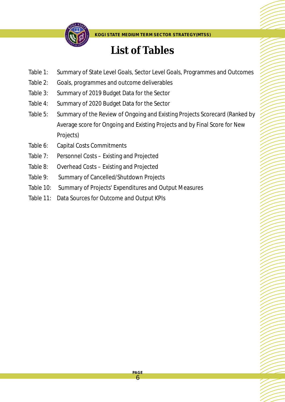

# **List of Tables**

- Table 1: Summary of State Level Goals, Sector Level Goals, Programmes and Outcomes
- Table 2: Goals, programmes and outcome deliverables
- Table 3: Summary of 2019 Budget Data for the Sector
- Table 4: Summary of 2020 Budget Data for the Sector
- Table 5: Summary of the Review of Ongoing and Existing Projects Scorecard (Ranked by Average score for Ongoing and Existing Projects and by Final Score for New Projects)
- Table 6: Capital Costs Commitments
- Table 7: Personnel Costs Existing and Projected
- Table 8: Overhead Costs Existing and Projected
- Table 9: Summary of Cancelled/Shutdown Projects
- Table 10: Summary of Projects' Expenditures and Output Measures
- Table 11: Data Sources for Outcome and Output KPIs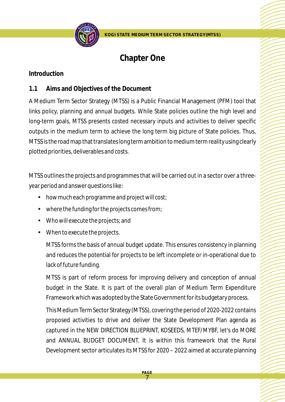

# **Chapter One**

#### **Introduction**

### **1.1 Aims and Objectives of the Document**

A Medium Term Sector Strategy (MTSS) is a Public Financial Management (PFM) tool that links policy, planning and annual budgets. While State policies outline the high level and long-term goals, MTSS presents costed necessary inputs and activities to deliver specific outputs in the medium term to achieve the long term big picture of State policies. Thus, MTSS is the road map that translates long term ambition to medium term reality using clearly plotted priorities, deliverables and costs.

MTSS outlines the projects and programmes that will be carried out in a sector over a threeyear period and answer questions like:

- how much each programme and project will cost;
- •where the funding for the projects comes from;
- •Who will execute the projects; and
- When to execute the projects.

MTSS forms the basis of annual budget update. This ensures consistency in planning and reduces the potential for projects to be left incomplete or in-operational due to lack of future funding.

MTSS is part of reform process for improving delivery and conception of annual budget in the State. It is part of the overall plan of Medium Term Expenditure Framework which was adopted by the State Government for its budgetary process.

This Medium Term Sector Strategy (MTSS), covering the period of 2020-2022 contains proposed activities to drive and deliver the State Development Plan agenda as captured in the NEW DIRECTION BLUEPRINT, KOSEEDS, MTEF/MYBF, let's do MORE and ANNUAL BUDGET DOCUMENT. It is within this framework that the Rural Development sector articulates its MTSS for 2020 – 2022 aimed at accurate planning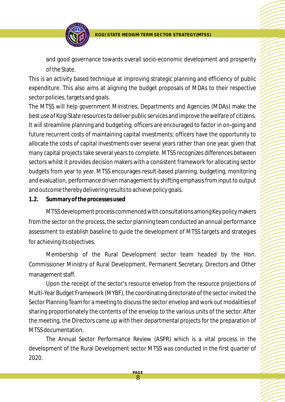

and good governance towards overall socio-economic development and prosperity of the State.

This is an activity based technique at improving strategic planning and efficiency of public expenditure. This also aims at aligning the budget proposals of MDAs to their respective sector policies, targets and goals.

The MTSS will help government Ministries, Departments and Agencies (MDAs) make the best use of Kogi State resources to deliver public services and improve the welfare of citizens. It will streamline planning and budgeting; officers are encouraged to factor in on-going and future recurrent costs of maintaining capital investments; officers have the opportunity to allocate the costs of capital investments over several years rather than one year, given that many capital projects take several years to complete. MTSS recognizes differences between sectors whilst it provides decision makers with a consistent framework for allocating sector budgets from year to year. MTSS encourages result-based planning, budgeting, monitoring and evaluation, performance driven management by shifting emphasis from input to output and outcome thereby delivering results to achieve policy goals.

**1.2. Summary of the processes used**

MTSS development process commenced with consultations among Key policy makers from the sector on the process, the sector planning team conducted an annual performance assessment to establish baseline to guide the development of MTSS targets and strategies for achieving its objectives.

Membership of the Rural Development sector team headed by the Hon. Commissioner Ministry of Rural Development, Permanent Secretary, Directors and Other management staff.

Upon the receipt of the sector's resource envelop from the resource projections of Multi-Year Budget Framework (MYBF), the coordinating directorate of the sector invited the Sector Planning Team for a meeting to discuss the sector envelop and work out modalities of sharing proportionately the contents of the envelop to the various units of the sector. After the meeting, the Directors came up with their departmental projects for the preparation of MTSS documentation.

The Annual Sector Performance Review (ASPR) which is a vital process in the development of the Rural Development sector MTSS was conducted in the first quarter of 2020.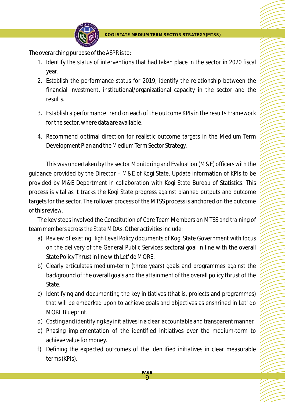

*The overarching purpose of the ASPR is to:*

- 1. Identify the status of interventions that had taken place in the sector in 2020 fiscal year.
- 2. Establish the performance status for 2019; identify the relationship between the financial investment, institutional/organizational capacity in the sector and the results.
- 3. Establish a performance trend on each of the outcome KPIs in the results Framework for the sector, where data are available.
- 4. Recommend optimal direction for realistic outcome targets in the Medium Term Development Plan and the Medium Term Sector Strategy.

This was undertaken by the sector Monitoring and Evaluation (M&E) officers with the guidance provided by the Director – M&E of Kogi State. Update information of KPIs to be provided by M&E Department in collaboration with Kogi State Bureau of Statistics. This process is vital as it tracks the Kogi State progress against planned outputs and outcome targets for the sector. The rollover process of the MTSS process is anchored on the outcome of this review.

The key steps involved the Constitution of Core Team Members on MTSS and training of team members across the State MDAs. *Other activities include:*

- a) Review of existing High Level Policy documents of Kogi State Government with focus on the delivery of the General Public Services sectoral goal in line with the overall State Policy Thrust in line with Let' do MORE.
- b) Clearly articulates medium-term (three years) goals and programmes against the background of the overall goals and the attainment of the overall policy thrust of the State.
- c) Identifying and documenting the key initiatives (that is, projects and programmes) that will be embarked upon to achieve goals and objectives as enshrined in Let' do MORE Blueprint.
- d) Costing and identifying key initiatives in a clear, accountable and transparent manner.
- e) Phasing implementation of the identified initiatives over the medium-term to achieve value for money.
- f) Defining the expected outcomes of the identified initiatives in clear measurable terms (KPIs).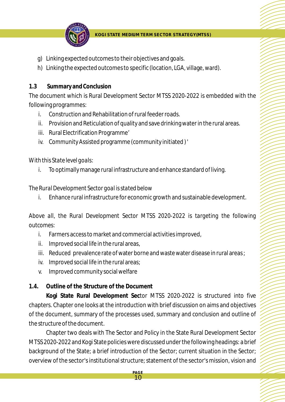

- g) Linking expected outcomes to their objectives and goals.
- h) Linking the expected outcomes to specific (location, LGA, village, ward).

#### **1.3 Summary and Conclusion**

The document which is Rural Development Sector MTSS 2020-2022 is embedded with the following programmes:

- i. Construction and Rehabilitation of rural feeder roads.
- ii. Provision and Reticulation of quality and save drinking water in the rural areas.
- iii. Rural Electrification Programme'
- iv. Community Assisted programme (community initiated ) '

#### *With this State level goals:*

i. To optimally manage rural infrastructure and enhance standard of living.

#### *The Rural Development Sector goal is stated below*

i. Enhance rural infrastructure for economic growth and sustainable development.

*Above all, the Rural Development Sector MTSS 2020-2022 is targeting the following outcomes:*

- i. Farmers access to market and commercial activities improved,
- ii. Improved social life in the rural areas,
- iii. Reduced prevalence rate of water borne and waste water disease in rural areas ;
- iv. Improved social life in the rural areas;
- v. Improved community social welfare
- **1.4. Outline of the Structure of the Document**

**Kogi State Rural Development Sec**tor MTSS 2020-2022 is structured into five chapters. Chapter one looks at the introduction with brief discussion on aims and objectives of the document, summary of the processes used, summary and conclusion and outline of the structure of the document.

Chapter two deals with The Sector and Policy in the State Rural Development Sector MTSS 2020-2022 and Kogi State policies were discussed under the following headings: a brief background of the State; a brief introduction of the Sector; current situation in the Sector; overview of the sector's institutional structure; statement of the sector's mission, vision and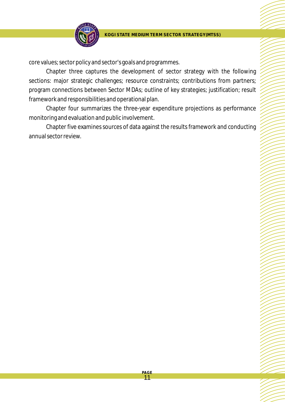

core values; sector policy and sector's goals and programmes.

Chapter three captures the development of sector strategy with the following sections: major strategic challenges; resource constraints; contributions from partners; program connections between Sector MDAs; outline of key strategies; justification; result framework and responsibilities and operational plan.

Chapter four summarizes the three-year expenditure projections as performance monitoring and evaluation and public involvement.

Chapter five examines sources of data against the results framework and conducting annual sector review.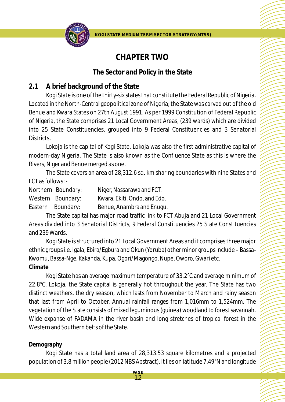

# **CHAPTER TWO**

### **The Sector and Policy in the State**

## **2.1 A brief background of the State**

Kogi State is one of the thirty-six states that constitute the Federal Republic of Nigeria. Located in the North-Central geopolitical zone of Nigeria; the State was carved out of the old Benue and Kwara States on 27th August 1991. As per 1999 Constitution of Federal Republic of Nigeria, the State comprises 21 Local Government Areas, (239 wards) which are divided into 25 State Constituencies, grouped into 9 Federal Constituencies and 3 Senatorial Districts.

Lokoja is the capital of Kogi State. Lokoja was also the first administrative capital of modern-day Nigeria. The State is also known as the Confluence State as this is where the Rivers, Niger and Benue merged as one.

The State covers an area of 28,312.6 sq. km sharing boundaries with nine States and FCT as follows: -

Northern Boundary: Niger, Nassarawa and FCT. Western Boundary: Kwara, Ekiti, Ondo, and Edo. Eastern Boundary: Benue, Anambra and Enugu.

The State capital has major road traffic link to FCT Abuja and 21 Local Government Areas divided into 3 Senatorial Districts, 9 Federal Constituencies 25 State Constituencies and 239 Wards.

Kogi State is structured into 21 Local Government Areas and it comprises three major ethnic groups i.e. Igala, Ebira/Egbura and Okun (Yoruba) other minor groups include – Bassa-Kwomu, Bassa-Nge, Kakanda, Kupa, Ogori/Magongo, Nupe, Oworo, Gwari etc. **Climate**

Kogi State has an average maximum temperature of 33.2°C and average minimum of 22.8°C. Lokoja, the State capital is generally hot throughout the year. The State has two distinct weathers, the dry season, which lasts from November to March and rainy season that last from April to October. Annual rainfall ranges from 1,016mm to 1,524mm. The vegetation of the State consists of mixed leguminous (guinea) woodland to forest savannah. Wide expanse of FADAMA in the river basin and long stretches of tropical forest in the Western and Southern belts of the State.

## **Demography**

Kogi State has a total land area of 28,313.53 square kilometres and a projected population of 3.8 million people (2012 NBS Abstract). It lies on latitude 7.49°N and longitude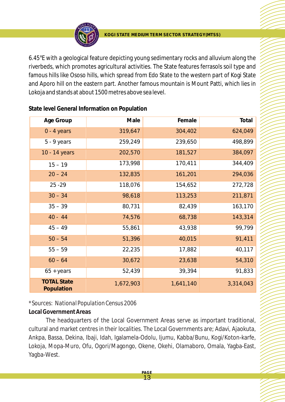

6.45°E with a geological feature depicting young sedimentary rocks and alluvium along the riverbeds, which promotes agricultural activities. The State features ferrasols soil type and famous hills like Ososo hills, which spread from Edo State to the western part of Kogi State and Aporo hill on the eastern part. Another famous mountain is Mount Patti, which lies in Lokoja and stands at about 1500 metres above sea level.

| Age Group                        | Male      | Female    | Total     |
|----------------------------------|-----------|-----------|-----------|
| $0 - 4$ years                    | 319,647   | 304,402   | 624,049   |
| $5 - 9$ years                    | 259,249   | 239,650   | 498,899   |
| 10 - 14 years                    | 202,570   | 181,527   | 384,097   |
| $15 - 19$                        | 173,998   | 170,411   | 344,409   |
| $20 - 24$                        | 132,835   | 161,201   | 294,036   |
| $25 - 29$                        | 118,076   | 154,652   | 272,728   |
| $30 - 34$                        | 98,618    | 113,253   | 211,871   |
| $35 - 39$                        | 80,731    | 82,439    | 163,170   |
| $40 - 44$                        | 74,576    | 68,738    | 143,314   |
| $45 - 49$                        | 55,861    | 43,938    | 99,799    |
| $50 - 54$                        | 51,396    | 40,015    | 91,411    |
| $55 - 59$                        | 22,235    | 17,882    | 40,117    |
| $60 - 64$                        | 30,672    | 23,638    | 54,310    |
| $65 + \gamma$ ears               | 52,439    | 39,394    | 91,833    |
| <b>TOTAL State</b><br>Population | 1,672,903 | 1,641,140 | 3,314,043 |

**State level General Information on Population**

## *\*Sources: National Population Census 2006*

#### **Local Government Areas**

The headquarters of the Local Government Areas serve as important traditional, cultural and market centres in their localities. The Local Governments are; Adavi, Ajaokuta, Ankpa, Bassa, Dekina, Ibaji, Idah, Igalamela-Odolu, Ijumu, Kabba/Bunu, Kogi/Koton-karfe, Lokoja, Mopa-Muro, Ofu, Ogori/Magongo, Okene, Okehi, Olamaboro, Omala, Yagba-East, Yagba-West.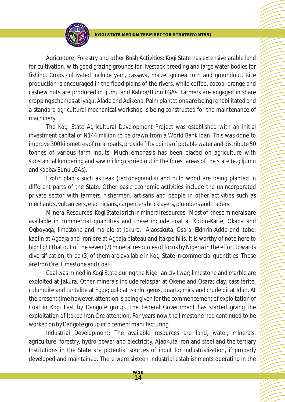

Agriculture, Forestry and other Bush Activities: Kogi State has extensive arable land for cultivation, with good grazing grounds for livestock breeding and large water bodies for fishing. Crops cultivated include yam, cassava, maize, guinea corn and groundnut. Rice production is encouraged in the flood plains of the rivers, while coffee, cocoa, orange and cashew nuts are produced in ljumu and Kabba/Bunu LGAs. Farmers are engaged in share cropping schemes at lyagu, Alade and Adikena. Palm plantations are being rehabilitated and a standard agricultural mechanical workshop is being constructed for the maintenance of machinery.

The Kogi State Agricultural Development Project was established with an initial investment capital of N144 million to be drawn from a World Bank loan. This was done to improve 300 kilometres of rural roads, provide fifty points of potable water and distribute 50 tonnes of various farm inputs. Much emphasis has been placed on agriculture with substantial lumbering and saw milling carried out in the forest areas of the state (e.g ljumu and Kabba/Bunu LGAs).

Exotic plants such as teak (tectonagrandis) and pulp wood are being planted in different parts of the State. Other basic economic activities include the unincorporated private sector with farmers, fishermen, artisans and people in other activities such as mechanics, vulcanizers, electricians, carpenters bricklayers, plumbers and traders.

Mineral Resources: Kogi State is rich in mineral resources. Most of these minerals are available in commercial quantities and these include coal at Koton-Karfe, Okaba and Ogboyaga; limestone and marble at Jakura, Ajaosskuta, Osara, Ekinrin-Adde and ltobe; kaolin at Agbaja and iron ore at Agbaja plateau and Itakpe hills. It is worthy of note here to highlight that out of the seven (7) mineral resources of focus by Nigeria in the effort towards diversification, three (3) of them are available in Kogi State in commercial quantities. These are Iron Ore, Limestone and Coal.

Coal was mined in Kogi State during the Nigerian civil war; limestone and marble are exploited at Jakura. Other minerals include feldspar at Okene and Osara; clay, cassiterite, columbite and tantalite at Egbe; gold at Isanlu, gems, quartz, mica and crude oil at Idah. At the present time however, attention is being given for the commencement of exploitation of Coal in Kogi East by Dangote group. The Federal Government has started giving the exploitation of Itakpe Iron Ore attention. For years now the limestone had continued to be worked on by Dangote group into cement manufacturing.

Industrial Development: The available resources are land, water, minerals, agriculture, forestry, hydro-power and electricity. Ajaokuta iron and steel and the tertiary Institutions in the State are potential sources of input for industrialization, if properly developed and maintained. There were sixteen industrial establishments operating in the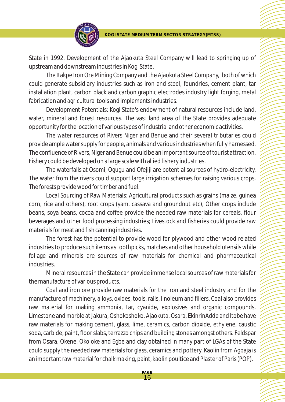

State in 1992. Development of the Ajaokuta Steel Company will lead to springing up of upstream and downstream industries in Kogi State.

The Itakpe Iron Ore Mining Company and the Ajaokuta Steel Company, both of which could generate subsidiary industries such as iron and steel, foundries, cement plant, tar installation plant, carbon black and carbon graphic electrodes industry light forging, metal fabrication and agricultural tools and implements industries.

Development Potentials: Kogi State's endowment of natural resources include land, water, mineral and forest resources. The vast land area of the State provides adequate opportunity for the location of various types of industrial and other economic activities.

The water resources of Rivers Niger and Benue and their several tributaries could provide ample water supply for people, animals and various industries when fully harnessed. The confluence of Rivers, Niger and Benue could be an important source of tourist attraction. Fishery could be developed on a large scale with allied fishery industries.

The waterfalls at Osomi, Ogugu and Ofejiji are potential sources of hydro-electricity. The water from the rivers could support large irrigation schemes for raising various crops. The forests provide wood for timber and fuel.

Local Sourcing of Raw Materials: Agricultural products such as grains (maize, guinea corn, rice and others), root crops (yam, cassava and groundnut etc), Other crops include beans, soya beans, cocoa and coffee provide the needed raw materials for cereals, flour beverages and other food processing industries; Livestock and fisheries could provide raw materials for meat and fish canning industries.

The forest has the potential to provide wood for plywood and other wood related industries to produce such items as toothpicks, matches and other household utensils while foliage and minerals are sources of raw materials for chemical and pharmaceutical industries.

Mineral resources in the State can provide immense local sources of raw materials for the manufacture of various products.

Coal and iron ore provide raw materials for the iron and steel industry and for the manufacture of machinery, alloys, oxides, tools, rails, linoleum and fillers. Coal also provides raw material for making ammonia, tar, cyanide, explosives and organic compounds. Limestone and marble at Jakura, Oshokoshoko, Ajaokuta, Osara, EkinrinAdde and ltobe have raw materials for making cement, glass, lime, ceramics, carbon dioxide, ethylene, caustic soda, carbide, paint, floor slabs, terrazzo chips and building stones amongst others. Feldspar from Osara, Okene, Okoloke and Egbe and clay obtained in many part of LGAs of the State could supply the needed raw materials for glass, ceramics and pottery. Kaolin from Agbaja is an important raw material for chalk making, paint, kaolin poultice and Plaster of Paris (POP).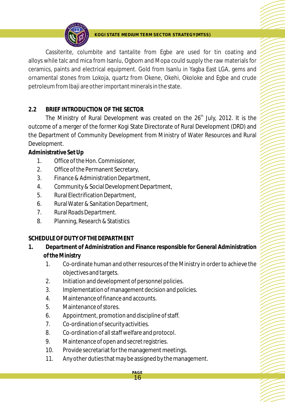

Cassiterite, columbite and tantalite from Egbe are used for tin coating and alloys while talc and mica from Isanlu, Ogbom and Mopa could supply the raw materials for ceramics, paints and electrical equipment. Gold from Isanlu in Yagba East LGA, gems and ornamental stones from Lokoja, quartz from Okene, Okehi, Okoloke and Egbe and crude petroleum from Ibaji are other important minerals in the state.

#### **2.2 BRIEF INTRODUCTION OF THE SECTOR**

The Ministry of Rural Development was created on the  $26<sup>th</sup>$  July, 2012. It is the outcome of a merger of the former Kogi State Directorate of Rural Development (DRD) and the Department of Community Development from Ministry of Water Resources and Rural Development.

**Administrative SetUp**

- 1. Office of the Hon. Commissioner,
- 2. Office of the Permanent Secretary,
- 3. Finance & Administration Department,
- 4. Community & Social Development Department,
- 5. Rural Electrification Department,
- 6. Rural Water & Sanitation Department,
- 7. Rural Roads Department.
- 8. Planning, Research & Statistics

#### **SCHEDULE OF DUTY OF THE DEPARTMENT**

- **1. Department of Administration and Finance responsible for General Administration of the Ministry**
	- 1. Co-ordinate human and other resources of the Ministry in order to achieve the objectives and targets.
	- 2. Initiation and development of personnel policies.
	- 3. Implementation of management decision and policies.
	- 4. Maintenance of finance and accounts.
	- 5. Maintenance of stores.
	- 6. Appointment, promotion and discipline of staff.
	- 7. Co-ordination of security activities.
	- 8. Co-ordination of all staff welfare and protocol.
	- 9. Maintenance of open and secret registries.
	- 10. Provide secretariat for the management meetings.
	- 11. Any other duties that may be assigned by the management.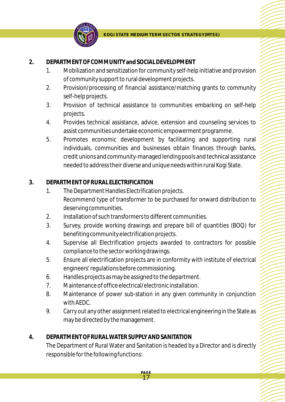

#### **2. DEPARTMENT OF COMMUNITYand SOCIAL DEVELOPMENT**

- 1. Mobilization and sensitization for community self-help initiative and provision of community support to rural development projects.
- 2. Provision/processing of financial assistance/matching grants to community self-help projects.
- 3. Provision of technical assistance to communities embarking on self-help projects.
- 4. Provides technical assistance, advice, extension and counseling services to assist communities undertake economic empowerment programme.
- 5. Promotes economic development by facilitating and supporting rural individuals, communities and businesses obtain finances through banks, credit unions and community-managed lending pools and technical assistance needed to address their diverse and unique needs within rural Kogi State.

#### **3. DEPARTMENT OF RURAL ELECTRIFICATION**

- 1. The Department Handles Electrification projects. Recommend type of transformer to be purchased for onward distribution to deserving communities.
- 2. Installation of such transformers to different communities.
- 3. Survey, provide working drawings and prepare bill of quantities (BOQ) for benefiting community electrification projects.
- 4. Supervise all Electrification projects awarded to contractors for possible compliance to the sector working drawings.
- 5. Ensure all electrification projects are in conformity with institute of electrical engineers' regulations before commissioning.
- 6. Handles projects as may be assigned to the department.
- 7. Maintenance of office electrical/electronic installation.
- 8. Maintenance of power sub-station in any given community in conjunction with AEDC.
- 9. Carry out any other assignment related to electrical engineering in the State as may be directed by the management.

#### **4. DEPARTMENT OF RURAL WATER SUPPLY AND SANITATION**

The Department of Rural Water and Sanitation is headed by a Director and is directly responsible for the following functions: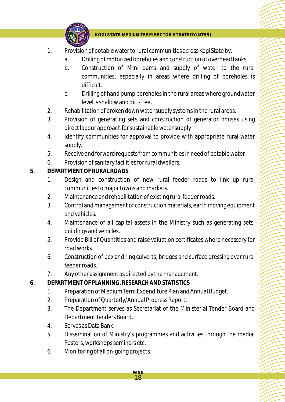

- 1. Provision of potable water to rural communities across Kogi State by:
	- a. Drilling of motorized boreholes and construction of overhead tanks.
	- b. Construction of Mini dams and supply of water to the rural communities, especially in areas where drilling of boreholes is difficult.
	- c. Drilling of hand pump boreholes in the rural areas where groundwater level is shallow and dirt-free.
- 2. Rehabilitation of broken down water supply systems in the rural areas.
- 3. Provision of generating sets and construction of generator houses using direct labour approach for sustainable water supply
- 4. Identify communities for approval to provide with appropriate rural water supply.
- 5. Receive and forward requests from communities in need of potable water.
- 6. Provision of sanitary facilities for rural dwellers.
- **5. DEPARTMENT OF RURAL ROADS**
	- 1. Design and construction of new rural feeder roads to link up rural communities to major towns and markets.
	- 2. Maintenance and rehabilitation of existing rural feeder roads.
	- 3. Control and management of construction materials, earth moving equipment and vehicles.
	- 4. Maintenance of all capital assets in the Ministry such as generating sets, buildings and vehicles.
	- 5. Provide Bill of Quantities and raise valuation certificates where necessary for road works.
	- 6. Construction of box and ring culverts, bridges and surface dressing over rural feeder roads.
	- 7. Any other assignment as directed by the management.
- **6. DEPARTMENT OF PLANNING, RESEARCH AND STATISTICS**
	- 1. Preparation of Medium Term Expenditure Plan and Annual Budget.

- 2. Preparation of Quarterly/Annual Progress Report.
- 3. The Department serves as Secretariat of the Ministerial Tender Board and Department Tenders Board.
- 4. Serves as Data Bank.
- 5. Dissemination of Ministry's programmes and activities through the media, Posters, workshops seminars etc.
- 6. Monitoring of all on-going projects.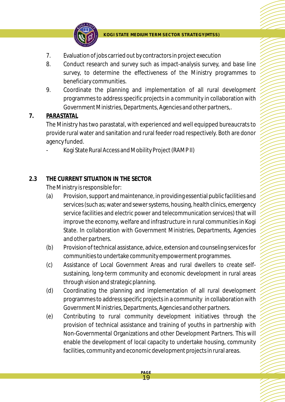

- 7. Evaluation of jobs carried out by contractors in project execution
- 8. Conduct research and survey such as impact-analysis survey, and base line survey, to determine the effectiveness of the Ministry programmes to beneficiary communities.
- 9. Coordinate the planning and implementation of all rural development programmes to address specific projects in a community in collaboration with Government Ministries, Departments, Agencies and other partners,.

#### **7. PARASTATAL**

The Ministry has two parastatal, with experienced and well equipped bureaucrats to provide rural water and sanitation and rural feeder road respectively. Both are donor agency funded.

- Kogi State Rural Access and Mobility Project (RAMP II)

#### **2.3 THE CURRENT SITUATION IN THE SECTOR**

The Ministry is responsible for:

- (a) Provision, support and maintenance, in providing essential public facilities and services (such as; water and sewer systems, housing, health clinics, emergency service facilities and electric power and telecommunication services) that will improve the economy, welfare and infrastructure in rural communities in Kogi State. In collaboration with Government Ministries, Departments, Agencies and other partners.
- (b) Provision of technical assistance, advice, extension and counseling services for communities to undertake community empowerment programmes.
- (c) Assistance of Local Government Areas and rural dwellers to create selfsustaining, long-term community and economic development in rural areas through vision and strategic planning.
- (d) Coordinating the planning and implementation of all rural development programmes to address specific projects in a community in collaboration with Government Ministries, Departments, Agencies and other partners.
- (e) Contributing to rural community development initiatives through the provision of technical assistance and training of youths in partnership with Non-Governmental Organizations and other Development Partners. This will enable the development of local capacity to undertake housing, community facilities, community and economic development projects in rural areas.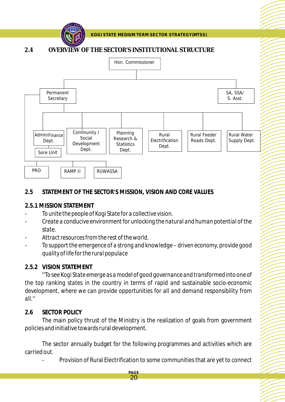

#### **2.4 OVERVIEW OF THE SECTOR'S INSTITUTIONAL STRUCTURE**



#### **2.5 STATEMENT OF THE SECTOR'S MISSION, VISION AND CORE VALUES**

#### **2.5.1 MISSION STATEMENT**

- *To unite the people of Kogi State for a collective vision.*
- *Create a conducive environment for unlocking the natural and human potential of the state.*
- *Attract resources from the rest of the world.*
- *To support the emergence of a strong and knowledge driven economy, provide good quality of life for the rural populace*

#### **2.5.2 VISION STATEMENT**

'*'To see Kogi State emerge as a model of good governance and transformed into one of the top ranking states in the country in terms of rapid and sustainable socio-economic development, where we can provide opportunities for all and demand responsibility from all.''*

#### **2.6 SECTOR POLICY**

The main policy thrust of the Ministry is the realization of goals from government policies and initiative towards rural development.

The sector annually budget for the following programmes and activities which are carried out.

> **PAGE**  20

- Provision of Rural Electrification to some communities that are yet to connect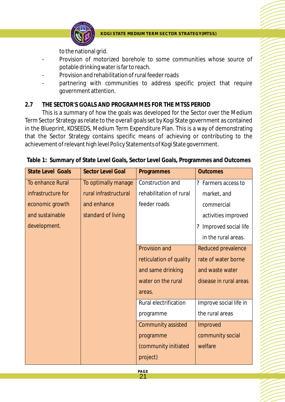

to the national grid.

- Provision of motorized borehole to some communities whose source of potable drinking water is far to reach.
- Provision and rehabilitation of rural feeder roads
- partnering with communities to address specific project that require government attention.

#### **2.7 THE SECTOR'S GOALS AND PROGRAMMES FOR THE MTSS PERIOD**

This is a summary of how the goals was developed for the Sector over the Medium Term Sector Strategy as relate to the overall goals set by Kogi State government as contained in the Blueprint, KOSEEDS, Medium Term Expenditure Plan. This is a way of demonstrating that the Sector Strategy contains specific means of achieving or contributing to the achievement of relevant high level Policy Statements of Kogi State government.

|  |  |  |  |  | Table 1: Summary of State Level Goals, Sector Level Goals, Programmes and Outcomes |  |
|--|--|--|--|--|------------------------------------------------------------------------------------|--|
|--|--|--|--|--|------------------------------------------------------------------------------------|--|

| <b>State Level Goals</b> | <b>Sector Level Goal</b> | Programmes              | <b>Outcomes</b>        |
|--------------------------|--------------------------|-------------------------|------------------------|
| To enhance Rural         | To optimally manage      | Construction and        | ? Farmers access to    |
| infrastructure for       | rural infrastructural    | rehabilitation of rural | market, and            |
| economic growth          | and enhance              | feeder roads            | commercial             |
| and sustainable          | standard of living       |                         | activities improved    |
| development.             |                          |                         | ? Improved social life |
|                          |                          |                         | in the rural areas.    |
|                          |                          | Provision and           | Reduced prevalence     |
|                          |                          | reticulation of quality | rate of water borne    |
|                          |                          | and same drinking       | and waste water        |
|                          |                          | water on the rural      | disease in rural areas |
|                          |                          | areas.                  |                        |
|                          |                          | Rural electrification   | Improve social life in |
|                          |                          | programme               | the rural areas        |
|                          |                          | Community assisted      | Improved               |
|                          |                          | programme               | community social       |
|                          |                          | (community initiated    | welfare                |
|                          |                          | project)                |                        |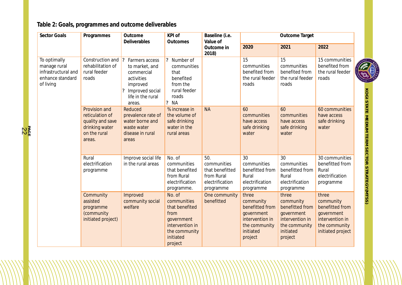## **Table 2: Goals, programmes and outcome deliverables**

**PA** ន្ត<br>ក្នុង

| Sector Goals                                                                         | Programmes                                                                                       | Outcome<br>Deliverables                                                                                                         | KPI of<br>Outcomes                                                                                                        | Baseline (i.e.<br>Value of                                                          |                                                                                                                 | Outcome Target                                                                                                  |                                                                                                              |               |
|--------------------------------------------------------------------------------------|--------------------------------------------------------------------------------------------------|---------------------------------------------------------------------------------------------------------------------------------|---------------------------------------------------------------------------------------------------------------------------|-------------------------------------------------------------------------------------|-----------------------------------------------------------------------------------------------------------------|-----------------------------------------------------------------------------------------------------------------|--------------------------------------------------------------------------------------------------------------|---------------|
|                                                                                      |                                                                                                  |                                                                                                                                 |                                                                                                                           | Outcome in<br>2018)                                                                 | 2020                                                                                                            | 2021                                                                                                            | 2022                                                                                                         |               |
| To optimally<br>manage rural<br>infrastructural and<br>enhance standard<br>of living | Construction and ?<br>rehabilitation of<br>rural feeder<br>roads                                 | Farmers access<br>to market, and<br>commercial<br>activities<br>improved<br>Improved social<br>?<br>life in the rural<br>areas. | ? Number of<br>communities<br>that<br>benefited<br>from the<br>rural feeder<br>roads<br>? <b>NA</b>                       |                                                                                     | 15<br>communities<br>benefited from<br>the rural feeder<br>roads                                                | 15<br>communities<br>benefited from<br>the rural feeder<br>roads                                                | 15 communities<br>benefited from<br>the rural feeder<br>roads                                                | $\frac{1}{2}$ |
|                                                                                      | Provision and<br>reticulation of<br>quality and save<br>drinking water<br>on the rural<br>areas. | Reduced<br>prevalence rate of<br>water borne and<br>waste water<br>disease in rural<br>areas                                    | % increase in<br>the volume of<br>safe drinking<br>water in the<br>rural areas                                            | <b>NA</b>                                                                           | 60<br>communities<br>have access<br>safe drinking<br>water                                                      | 60<br>communities<br>have access<br>safe drinking<br>water                                                      | 60 communities<br>have access<br>safe drinking<br>water                                                      |               |
|                                                                                      | Rural<br>electrification<br>programme                                                            | Improve social life<br>in the rural areas                                                                                       | No. of<br>communities<br>that benefited<br>from Rural<br>electrification<br>programme.                                    | 50.<br>communities<br>that benefitted<br>from Rural<br>electrification<br>programme | 30<br>communities<br>benefitted from<br>Rural<br>electrification<br>programme                                   | 30<br>communities<br>benefitted from<br>Rural<br>electrification<br>programme                                   | 30 communities<br>benefitted from<br>Rural<br>electrification<br>programme                                   |               |
|                                                                                      | Community<br>assisted<br>programme<br>(community<br>initiated project)                           | Improved<br>community social<br>welfare                                                                                         | No. of<br>communities<br>that benefited<br>from<br>government<br>intervention in<br>the community<br>initiated<br>project | One community<br>benefitted                                                         | three<br>community<br>benefitted from<br>government<br>intervention in<br>the community<br>initiated<br>project | three<br>community<br>benefitted from<br>government<br>intervention in<br>the community<br>initiated<br>project | three<br>community<br>benefitted from<br>government<br>intervention in<br>the community<br>initiated project |               |

**K O GI S TAT E NEDIOM T E R M S E C T O R** STRATEGY(MTSS)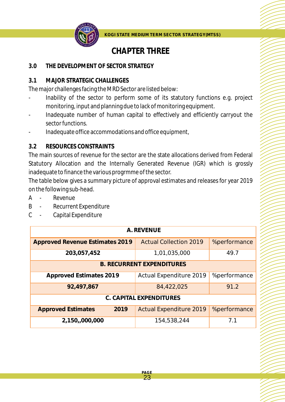

# **CHAPTER THREE**

#### **3.0 THE DEVELOPMENT OF SECTOR STRATEGY**

#### **3.1 MAJOR STRATEGIC CHALLENGES**

The major challenges facing the MRD Sector are listed below:

- Inability of the sector to perform some of its statutory functions e.g. project monitoring, input and planning due to lack of monitoring equipment.
- Inadequate number of human capital to effectively and efficiently carryout the sector functions.
- Inadequate office accommodations and office equipment,

#### **3.2 RESOURCES CONSTRAINTS**

The main sources of revenue for the sector are the state allocations derived from Federal Statutory Allocation and the Internally Generated Revenue (IGR) which is grossly inadequate to finance the various progrmme of the sector.

The table below gives a summary picture of approval estimates and releases for year 2019 on the following sub-head.

- A Revenue
- B Recurrent Expenditure
- C Capital Expenditure

|                                        | A. REVENUE                       |              |
|----------------------------------------|----------------------------------|--------------|
| <b>Approved Revenue Estimates 2019</b> | <b>Actual Collection 2019</b>    | %performance |
| 203,057,452                            | 1,01,035,000                     | 49.7         |
|                                        | <b>B. RECURRENT EXPENDITURES</b> |              |
| <b>Approved Estimates 2019</b>         | <b>Actual Expenditure 2019</b>   | %performance |
| 92,497,867                             | 84,422,025                       | 91.2         |
|                                        | C. CAPITAL EXPENDITURES          |              |
| 2019<br><b>Approved Estimates</b>      | <b>Actual Expenditure 2019</b>   | %performance |
| 2,150,,000,000                         | 154,538,244                      | 7.1          |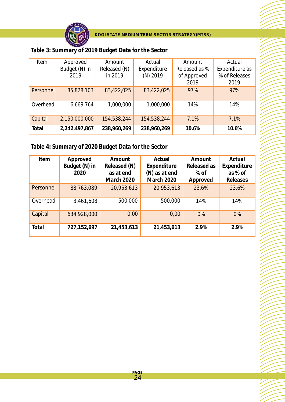

| Table 3: Summary of 2019 Budget Data for the Sector |  |  |
|-----------------------------------------------------|--|--|

| Item      | Approved<br>Budget (N) in | Amount<br>Released (N) | Actual<br>Expenditure | Amount<br>Released as % | Actual<br>Expenditure as |
|-----------|---------------------------|------------------------|-----------------------|-------------------------|--------------------------|
|           | 2019                      | in 2019                | $(N)$ 2019            | of Approved<br>2019     | % of Releases<br>2019    |
| Personnel | 85,828,103                | 83,422,025             | 83,422,025            | 97%                     | 97%                      |
| Overhead  | 6,669,764                 | 1,000,000              | 1,000,000             | 14%                     | 14%                      |
| Capital   | 2,150,000,000             | 154,538,244            | 154,538,244           | 7.1%                    | 7.1%                     |
| Total     | 2,242,497,867             | 238,960,269            | 238,960,269           | 10.6%                   | 10.6%                    |

**Table 4: Summary of 2020 Budget Data for the Sector**

| Item      | Approved      | Amount            | Actual            | Amount      | Actual      |
|-----------|---------------|-------------------|-------------------|-------------|-------------|
|           | Budget (N) in | Released (N)      | Expenditure       | Released as | Expenditure |
|           | 2020          | as at end         | (N) as at end     | $%$ of      | as % of     |
|           |               | <b>March 2020</b> | <b>March 2020</b> | Approved    | Releases    |
| Personnel | 88,763,089    | 20,953,613        | 20,953,613        | 23.6%       | 23.6%       |
| Overhead  | 3,461,608     | 500,000           | 500,000           | 14%         | 14%         |
| Capital   | 634,928,000   | 0,00              | 0,00              | 0%          | 0%          |
| Total     | 727,152,697   | 21,453,613        | 21,453,613        | 2.9%        | 2.9%        |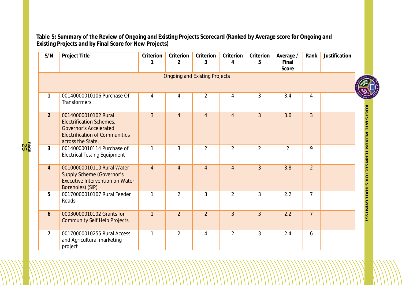**Table 5: Summary of the Review of Ongoing and Existing Projects Scorecard (Ranked by Average score for Ongoing and Existing Projects and by Final Score for New Projects)**

| S/N            | Project Title                                                                                                                                          | Criterion<br>1 | Criterion<br>$\overline{2}$          | Criterion<br>3 | Criterion<br>4 | Criterion<br>5 | Average /<br>Final<br>Score | Rank           | Justification |
|----------------|--------------------------------------------------------------------------------------------------------------------------------------------------------|----------------|--------------------------------------|----------------|----------------|----------------|-----------------------------|----------------|---------------|
|                |                                                                                                                                                        |                | <b>Ongoing and Existing Projects</b> |                |                |                |                             |                | $\frac{4}{3}$ |
| $\mathbf{1}$   | 00140000010106 Purchase Of<br><b>Transformers</b>                                                                                                      | 4              | 4                                    | $\overline{2}$ | $\overline{4}$ | 3              | 3.4                         | 4              |               |
| $\overline{2}$ | 00140000010102 Rural<br><b>Electrification Schemes,</b><br><b>Governor's Accelerated</b><br><b>Electrification of Communities</b><br>across the State. | $\overline{3}$ | $\overline{4}$                       | $\overline{4}$ | $\overline{4}$ | $\overline{3}$ | 3.6                         | $\overline{3}$ |               |
| 3              | 00140000010114 Purchase of<br><b>Electrical Testing Equipment</b>                                                                                      | 1              | 3                                    | $\overline{2}$ | $\overline{2}$ | $\overline{2}$ | $\overline{2}$              | 9              |               |
| $\overline{4}$ | 00100000010110 Rural Water<br><b>Supply Scheme (Governor's</b><br><b>Executive Intervention on Water</b><br>Boreholes) (SIP)                           | $\overline{4}$ | $\overline{4}$                       | $\overline{4}$ | $\overline{4}$ | $\overline{3}$ | 3.8                         | $\overline{2}$ |               |
| 5              | 00170000010107 Rural Feeder<br>Roads                                                                                                                   | $\mathbf{1}$   | $\overline{2}$                       | 3              | $\overline{2}$ | 3              | 2.2                         | $\overline{7}$ |               |
| 6              | 00030000010102 Grants for<br><b>Community Self Help Projects</b>                                                                                       | $\mathbf{1}$   | $\overline{2}$                       | $\overline{2}$ | $\overline{3}$ | $\overline{3}$ | 2.2                         | $\overline{7}$ |               |
| $\overline{7}$ | 00170000010255 Rural Access<br>and Agricultural marketing<br>project                                                                                   | $\mathbf{1}$   | $\overline{2}$                       | $\overline{4}$ | $\overline{2}$ | $\overline{3}$ | 2.4                         | 6              |               |



**K O GI**

**S TAT E**

**MEDIOM** 

**T E R M**

**S E C T O R**

STRATEGY(MTSS)

**PA** ន្ត្រី<br>ភូមិ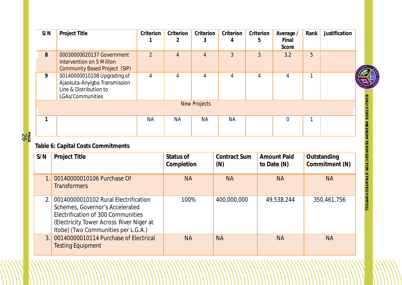| S/N          | Project Title                                                                                                         | Criterion<br>1 | Criterion<br>2          | Criterion<br>3      | Criterion<br>4             | Criterion<br>5 | Average /<br>Final<br>Score       | Rank | Justification                 |
|--------------|-----------------------------------------------------------------------------------------------------------------------|----------------|-------------------------|---------------------|----------------------------|----------------|-----------------------------------|------|-------------------------------|
| 8            | 00030000020137 Government<br><b>Intervention on 5 Million</b><br><b>Community Based Project (SIP)</b>                 | $\overline{2}$ | $\overline{4}$          | $\overline{4}$      | $\overline{3}$             | $\overline{3}$ | 3.2                               | 5    |                               |
| 9            | 00140000010108 Upgrading of<br>Ajaokuta-Anyigba Transmission<br>Line & Distribution to<br>LGAs/Communities            | 4              | $\overline{4}$          | $\overline{4}$      | 4                          | $\overline{4}$ | $\overline{4}$                    | 1    |                               |
|              |                                                                                                                       |                |                         | <b>New Projects</b> |                            |                |                                   |      |                               |
| $\mathbf{1}$ |                                                                                                                       | <b>NA</b>      | <b>NA</b>               | <b>NA</b>           | <b>NA</b>                  |                | $\overline{0}$                    | 1    |                               |
|              | Table 6: Capital Costs Commitments                                                                                    |                |                         |                     |                            |                |                                   |      |                               |
| S/N          | Project Title                                                                                                         |                | Status of<br>Completion |                     | <b>Contract Sum</b><br>(N) |                | <b>Amount Paid</b><br>to Date (N) |      | Outstanding<br>Commitment (N) |
|              | 00140000010106 Purchase Of<br><b>Transformers</b>                                                                     |                | <b>NA</b>               |                     | <b>NA</b>                  |                | <b>NA</b>                         |      | <b>NA</b>                     |
| 2.1          | 00140000010102 Rural Electrification<br>Schemes, Governor's Accelerated                                               |                | 100%                    |                     | 400,000,000                |                | 49,538,244                        |      | 350,461,756                   |
|              | Electrification of 300 Communities<br>(Electricity Tower Across River Niger at<br>Itobe) (Two Communities per L.G.A.) |                |                         |                     |                            |                |                                   |      |                               |

2 6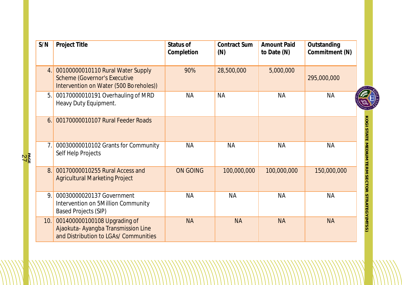| S/N            | Project Title                                                                                                      | Status of<br>Completion | Contract Sum<br>(N) | <b>Amount Paid</b><br>to Date (N) | Outstanding<br>Commitment (N) |                                         |
|----------------|--------------------------------------------------------------------------------------------------------------------|-------------------------|---------------------|-----------------------------------|-------------------------------|-----------------------------------------|
| 4.             | 00100000010110 Rural Water Supply<br><b>Scheme (Governor's Executive</b><br>Intervention on Water (500 Boreholes)) | 90%                     | 28,500,000          | 5,000,000                         | 295,000,000                   |                                         |
| 5.             | 00170000010191 Overhauling of MRD<br>Heavy Duty Equipment.                                                         | <b>NA</b>               | <b>NA</b>           | <b>NA</b>                         | <b>NA</b>                     |                                         |
| 6.             | 00170000010107 Rural Feeder Roads                                                                                  |                         |                     |                                   |                               | Kogl                                    |
| 7 <sub>1</sub> | 00030000010102 Grants for Community<br>Self Help Projects                                                          | <b>NA</b>               | <b>NA</b>           | <b>NA</b>                         | <b>NA</b>                     |                                         |
| 8.             | 00170000010255 Rural Access and<br><b>Agricultural Marketing Project</b>                                           | <b>ON GOING</b>         | 100,000,000         | 100,000,000                       | 150,000,000                   |                                         |
| 9              | 00030000020137 Government<br>Intervention on 5Million Community<br><b>Based Projects (SIP)</b>                     | <b>NA</b>               | <b>NA</b>           | <b>NA</b>                         | <b>NA</b>                     | STATE MEDIUM TERM SECTOR STRATEGY(MTSS) |
| 10.            | 001400000100108 Upgrading of<br>Ajaokuta- Ayangba Transmission Line<br>and Distribution to LGAs/ Communities       | <b>NA</b>               | <b>NA</b>           | <b>NA</b>                         | <b>NA</b>                     |                                         |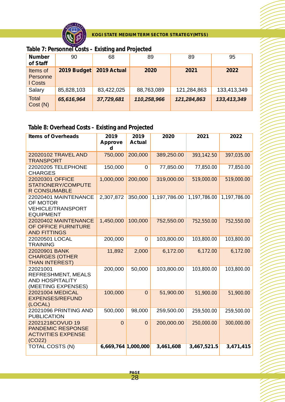

**Table 7: Personnel Costs – Existing and Projected**

| <b>Number</b><br>of Staff       | 90          | 68          | 89          | 89          | 95          |
|---------------------------------|-------------|-------------|-------------|-------------|-------------|
| Items of<br>Personne<br>I Costs | 2019 Budget | 2019 Actual | 2020        | 2021        | 2022        |
| Salary                          | 85,828,103  | 83,422,025  | 88,763,089  | 121,284,863 | 133,413,349 |
| <b>Total</b><br>Cost(N)         | 65,616,964  | 37,729,681  | 110,258,966 | 121,284,863 | 133,413,349 |

### **Table 8: Overhead Costs – Existing and Projected**

| <b>Items of Overheads</b>                                                             | 2019<br><b>Approve</b><br>d | 2019<br><b>Actual</b> | 2020         | 2021         | 2022         |
|---------------------------------------------------------------------------------------|-----------------------------|-----------------------|--------------|--------------|--------------|
| 22020102 TRAVEL AND<br><b>TRANSPORT</b>                                               | 750,000                     | 200,000               | 389,250.00   | 393,142.50   | 397,035.00   |
| 22020205 TELEPHONE<br><b>CHARGES</b>                                                  | 150,000                     | 0                     | 77,850.00    | 77,850.00    | 77,850.00    |
| 22020301 OFFICE<br>STATIONERY/COMPUTE<br><b>R CONSUMABLE</b>                          | 1,000,000                   | 200,000               | 319,000.00   | 519,000.00   | 519,000.00   |
| 22020401 MAINTENANCE<br>OF MOTOR<br><b>VEHICLE/TRANSPORT</b><br><b>EQUIPMENT</b>      | 2,307,872                   | 350,000               | 1,197,786.00 | 1,197,786.00 | 1,197,786.00 |
| 22020402 MAINTENANCE<br>OF OFFICE FURNITURE<br><b>AND FITTINGS</b>                    | 1,450,000                   | 100,000               | 752,550.00   | 752,550.00   | 752,550.00   |
| 22020501 LOCAL<br><b>TRAINING</b>                                                     | 200,000                     | 0                     | 103,800.00   | 103,800.00   | 103,800.00   |
| 22020901 BANK<br><b>CHARGES (OTHER</b><br><b>THAN INTEREST)</b>                       | 11,892                      | 2,000                 | 6,172.00     | 6,172.00     | 6,172.00     |
| 22021001<br><b>REFRESHMENT, MEALS</b><br><b>AND HOSPITALITY</b><br>(MEETING EXPENSES) | 200,000                     | 50,000                | 103,800.00   | 103,800.00   | 103,800.00   |
| 22021004 MEDICAL<br><b>EXPENSES/REFUND</b><br>(LOCAL)                                 | 100,000                     | $\overline{0}$        | 51,900.00    | 51,900.00    | 51,900.00    |
| 22021096 PRINTING AND<br><b>PUBLICATION</b>                                           | 500,000                     | 98,000                | 259,500.00   | 259,500.00   | 259,500.00   |
| 22021218COVUD 19<br><b>PANDEMIC RESPONSE</b><br><b>ACTIVITIES EXPENSE</b><br>(CO22)   | $\Omega$                    | $\Omega$              | 200,000.00   | 250,000.00   | 300,000.00   |
| <b>TOTAL COSTS (N)</b>                                                                | 6,669,764 1,000,000         |                       | 3,461,608    | 3,467,521.5  | 3,471,415    |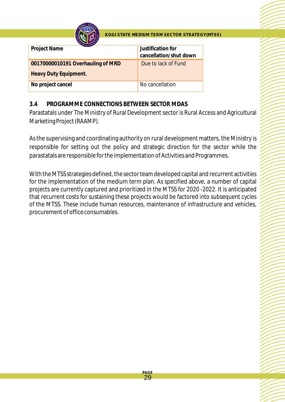

| CE OF OVECT                       |                                             |
|-----------------------------------|---------------------------------------------|
| Project Name                      | Justification for<br>cancellation/shut down |
| 00170000010191 Overhauling of MRD | Due to lack of Fund                         |
| Heavy Duty Equipment.             |                                             |
| No project cancel                 | No cancellation                             |

#### **3.4 PROGRAMME CONNECTIONS BETWEEN SECTOR MDAS**

Parastatals under The Ministry of Rural Development sector is Rural Access and Agricultural Marketing Project (RAAMP).

As the supervising and coordinating authority on rural development matters, the Ministry is responsible for setting out the policy and strategic direction for the sector while the parastatals are responsible for the implementation of Activities and Programmes.

With the MTSS strategies defined, the sector team developed capital and recurrent activities for the implementation of the medium term plan. As specified above, a number of capital projects are currently captured and prioritized in the MTSS for 2020 -2022. It is anticipated that recurrent costs for sustaining these projects would be factored into subsequent cycles of the MTSS. These include human resources, maintenance of infrastructure and vehicles, procurement of office consumables.

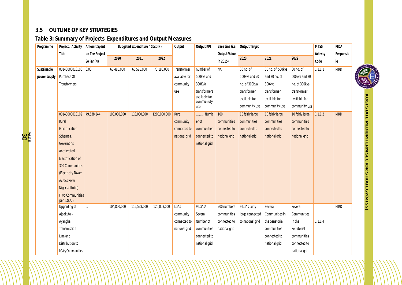#### **3.5 OUTLINE OF KEY STRATEGIES**

**PA** နို့<br>၁၉

#### **Table 3: Summary of Projects' Expenditures and Output Measures**

| Programme    | Project / Activity              | Amount Spent   | Budgeted Expenditure / Cost (N) |             | Output       | Output KPI    | Base Line (i.e.             | <b>Output Target</b> |                  |                  | <b>MTSS</b>     | <b>MDA</b> |            |  |
|--------------|---------------------------------|----------------|---------------------------------|-------------|--------------|---------------|-----------------------------|----------------------|------------------|------------------|-----------------|------------|------------|--|
|              | Title                           | on The Project |                                 |             |              |               |                             | Output Value         |                  |                  |                 | Activity   | Responsib  |  |
|              |                                 | So Far (N)     | 2020                            | 2021        | 2022         |               |                             | in 2015)             | 2020             | 2021             | 2022            | Code       | le         |  |
| Sustainable  | 00140000010106                  | 0.00           | 60,480,000                      | 66,528,000  | 73,180,000   | Transformer   | number of                   | <b>NA</b>            | 30 no. of        | 30 no. of 500kva | 30 no. of       | 1.1.1.1    | <b>MRD</b> |  |
| power supply | Purchase Of                     |                |                                 |             |              | available for | 500kva and                  |                      | 500kva and 20    | and 20 no. of    | 500kva and 20   |            |            |  |
|              | <b>Transformers</b>             |                |                                 |             |              | community     | 300KVa                      |                      | no. of 300kva    | 300kva           | no. of 300kva   |            |            |  |
|              |                                 |                |                                 |             |              | use           | transformers                |                      | transformer      | transformer      | transformer     |            |            |  |
|              |                                 |                |                                 |             |              |               | available for<br>communiuty |                      | available for    | available for    | available for   |            |            |  |
|              |                                 |                |                                 |             |              |               | use                         |                      | community use    | community use    | community use   |            |            |  |
|              | 00140000010102                  | 49,538,244     | 100,000,000                     | 110,000,000 | 1200,000,000 | Rural         | Numb                        | 100                  | 10 fairly large  | 10 fairly large  | 10 fairly large | 1.1.1.2    | <b>MRD</b> |  |
|              | Rural                           |                |                                 |             |              | community     | er of                       | communities          | communities      | communities      | communities     |            |            |  |
|              | Electrification                 |                |                                 |             |              | connected to  | communities                 | connected to         | connected to     | connected to     | connected to    |            |            |  |
|              | Schemes,                        |                |                                 |             |              | national grid | connected to                | national grid        | national grid    | national grid    | national grid   |            |            |  |
|              | Governor's                      |                |                                 |             |              |               | national grid               |                      |                  |                  |                 |            |            |  |
|              | Accelerated                     |                |                                 |             |              |               |                             |                      |                  |                  |                 |            |            |  |
|              | Electrification of              |                |                                 |             |              |               |                             |                      |                  |                  |                 |            |            |  |
|              | 300 Communities                 |                |                                 |             |              |               |                             |                      |                  |                  |                 |            |            |  |
|              | (Electricity Tower              |                |                                 |             |              |               |                             |                      |                  |                  |                 |            |            |  |
|              | <b>Across River</b>             |                |                                 |             |              |               |                             |                      |                  |                  |                 |            |            |  |
|              | Niger at Itobe)                 |                |                                 |             |              |               |                             |                      |                  |                  |                 |            |            |  |
|              | (Two Communities<br>per L.G.A.) |                |                                 |             |              |               |                             |                      |                  |                  |                 |            |            |  |
|              | Upgrading of                    | $0_\cdot$      | 104,800,000                     | 115,528,000 | 126,008,000  | LGAs          | 9 LGAs/                     | 200 numbers          | 9 LGAs fairly    | Several          | Several         |            | <b>MRD</b> |  |
|              | Ajaokuta -                      |                |                                 |             |              | community     | Several                     | communities          | large connected  | Communities in   | Communities     |            |            |  |
|              | Ayangba                         |                |                                 |             |              | connected to  | Number of                   | connected to         | to national grid | the Senatorial   | in the          | 1.1.1.4    |            |  |
|              | Transmission                    |                |                                 |             |              | national grid | communities                 | national grid        |                  | communities      | Senatorial      |            |            |  |
|              | Line and                        |                |                                 |             |              |               | connected to                |                      |                  | connected to     | communities     |            |            |  |
|              | Distribution to                 |                |                                 |             |              |               | national grid               |                      |                  | national grid    | connected to    |            |            |  |
|              | LGAs/Communities                |                |                                 |             |              |               |                             |                      |                  |                  | national grid   |            |            |  |



**K O GI S TAT E MEDIOM TERM S E C T O R** STRATEGY(MTSS)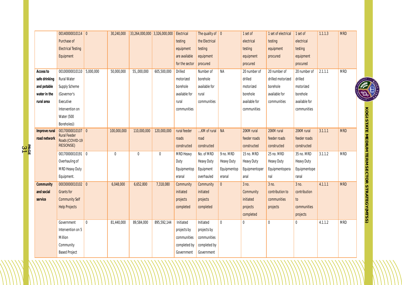|                          |               | 00140000010114 0                        |              | 30,240,000   | 33,264,000,000 3,326,000,000 |             | Electrical     | The quality of $\boxed{0}$ |                   | 1 set of          | 1 set of electrical | 1 set of      | 1.1.1.3 | <b>MRD</b> |                                                     |
|--------------------------|---------------|-----------------------------------------|--------------|--------------|------------------------------|-------------|----------------|----------------------------|-------------------|-------------------|---------------------|---------------|---------|------------|-----------------------------------------------------|
|                          |               | Purchase of                             |              |              |                              |             | testing        | the Electrical             |                   | electrical        | testing             | electrical    |         |            |                                                     |
|                          |               | <b>Electrical Testing</b>               |              |              |                              |             | equipment      | testing                    |                   | testing           | equipment           | testing       |         |            |                                                     |
|                          |               | Equipment                               |              |              |                              |             | are available  | equipment                  |                   | equipment         | procured            | equipment     |         |            |                                                     |
|                          |               |                                         |              |              |                              |             | for the sector | procured                   |                   | procured          |                     | procured      |         |            |                                                     |
|                          | Access to     | 00100000010110 5,000,000                |              | 50,000,000   | 55,,000,000                  | 605,500,000 | Drilled        | Number of                  | <b>NA</b>         | 20 number of      | 20 number of        | 20 number of  | 2.1.1.1 | <b>MRD</b> |                                                     |
|                          | safe drinking | Rural Water                             |              |              |                              |             | motorized      | borehole                   |                   | drilled           | drilled motorized   | drilled       |         |            |                                                     |
|                          | and potable   | Supply Scheme                           |              |              |                              |             | borehole       | available for              |                   | motorized         | borehole            | motorized     |         |            |                                                     |
|                          | water in the  | (Governor's                             |              |              |                              |             | available for  | rural                      |                   | borehole          | available for       | borehole      |         |            |                                                     |
|                          | rural area    | Executive                               |              |              |                              |             | rural          | communities                |                   | available for     | communities         | available for |         |            |                                                     |
|                          |               | Intervention on                         |              |              |                              |             | communities    |                            |                   | communities       |                     | communities   |         |            |                                                     |
|                          |               | Water (500                              |              |              |                              |             |                |                            |                   |                   |                     |               |         |            |                                                     |
|                          |               | Boreholes))                             |              |              |                              |             |                |                            |                   |                   |                     |               |         |            |                                                     |
|                          | Improve rural | 00170000010107 0<br><b>Rural Feeder</b> |              | 100,000,000  | 110,000,000                  | 120,000,000 | rural feeder   | KM of rural   NA           |                   | 20KM rural        | 20KM rural          | 20KM rural    | 3.1.1.1 | <b>MRD</b> | <b>KOGI STATE MEDIUM TERM SECTOR STRATEGY(MTSS)</b> |
|                          | road network  | Roads (COVID-19                         |              |              |                              |             | roads          | road                       |                   | feeder roads      | feeder roads        | feeder roads  |         |            |                                                     |
| вдс <mark>⊨</mark><br>Э1 |               | RESONSE)                                |              |              |                              |             | constructed    | constructed                |                   | constructed       | constructed         | constructed   |         |            |                                                     |
|                          |               | 00170000010191 0                        |              | $\mathbf{0}$ | $\mathbf 0$                  | $\mathbf 0$ | MRD Heavy      | No. of MRD                 | 9 no. MRD         | 15 no. MRD        | 25 no. MRD          | 35 no. MRD    | 3.1.1.2 | <b>MRD</b> |                                                     |
|                          |               | Overhauling of                          |              |              |                              |             | Duty           | <b>Heavy Duty</b>          | <b>Heavy Duty</b> | <b>Heavy Duty</b> | Heavy Duty          | Heavy Duty    |         |            |                                                     |
|                          |               | MRD Heavy Duty                          |              |              |                              |             | Equipmentop    | Equipment                  | Equipmentop       | Equipmentoper     | Equipmentopera      | Equipmentope  |         |            |                                                     |
|                          |               | Equipment.                              |              |              |                              |             | eranal         | overhauled                 | eranal            | anal              | nal                 | ranal         |         |            |                                                     |
|                          | Community     | 00030000010102 0                        |              | 6,048,000    | 6,652,800                    | 7,318,080   | Community      | Community                  | $\overline{0}$    | 3 no.             | 3 no.               | 3 no.         | 4.1.1.1 | <b>MRD</b> |                                                     |
|                          | and social    | Grants for                              |              |              |                              |             | initiated      | initiated                  |                   | Community         | contribution to     | contribution  |         |            |                                                     |
|                          | service       | <b>Community Self</b>                   |              |              |                              |             | projects       | projects                   |                   | initiated         | communities         | to            |         |            |                                                     |
|                          |               | <b>Help Projects</b>                    |              |              |                              |             | completed      | completed                  |                   | projects          | projects            | communities   |         |            |                                                     |
|                          |               |                                         |              |              |                              |             |                |                            |                   | completed         |                     | projects      |         |            |                                                     |
|                          |               | Government                              | $\mathbf{0}$ | 81,440,000   | 89,584,000                   | 895,592,144 | Initiated      | Initiated                  | $\mathbf 0$       | 0                 | $\mathbf{0}$        | $\mathbf{0}$  | 4.1.1.2 | <b>MRD</b> |                                                     |
|                          |               | Intervention on 5                       |              |              |                              |             | projects by    | projects by                |                   |                   |                     |               |         |            |                                                     |
|                          |               | Million                                 |              |              |                              |             | communities    | communities                |                   |                   |                     |               |         |            |                                                     |
|                          |               | Community                               |              |              |                              |             | completed by   | completed by               |                   |                   |                     |               |         |            |                                                     |
|                          |               | <b>Based Project</b>                    |              |              |                              |             | Government     | Government                 |                   |                   |                     |               |         |            |                                                     |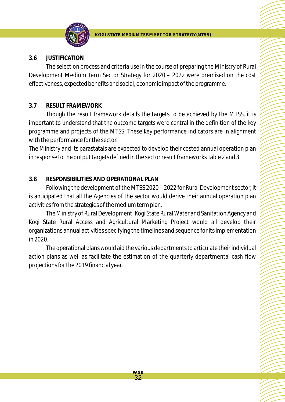

#### **3.6 JUSTIFICATION**

The selection process and criteria use in the course of preparing the Ministry of Rural Development Medium Term Sector Strategy for 2020 – 2022 were premised on the cost effectiveness, expected benefits and social, economic impact of the programme.

#### **3.7 RESULT FRAMEWORK**

Though the result framework details the targets to be achieved by the MTSS, it is important to understand that the outcome targets were central in the definition of the key programme and projects of the MTSS. These key performance indicators are in alignment with the performance for the sector.

The Ministry and its parastatals are expected to develop their costed annual operation plan in response to the output targets defined in the sector result frameworks Table 2 and 3.

#### **3.8 RESPONSIBILITIES AND OPERATIONAL PLAN**

Following the development of the MTSS 2020 – 2022 for Rural Development sector, it is anticipated that all the Agencies of the sector would derive their annual operation plan activities from the strategies of the medium term plan.

The Ministry of Rural Development; Kogi State Rural Water and Sanitation Agency and Kogi State Rural Access and Agricultural Marketing Project would all develop their organizations annual activities specifying the timelines and sequence for its implementation in 2020.

The operational plans would aid the various departments to articulate their individual action plans as well as facilitate the estimation of the quarterly departmental cash flow projections for the 2019 financial year.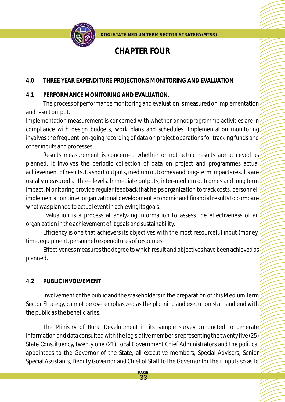

# **CHAPTER FOUR**

#### **4.0 THREE YEAR EXPENDITURE PROJECTIONS MONITORING AND EVALUATION**

#### **4.1 PERFORMANCE MONITORING AND EVALUATION.**

The process of performance monitoring and evaluation is measured on implementation and result output.

Implementation measurement is concerned with whether or not programme activities are in compliance with design budgets, work plans and schedules. Implementation monitoring involves the frequent, on-going recording of data on project operations for tracking funds and other inputs and processes.

Results measurement is concerned whether or not actual results are achieved as planned. It involves the periodic collection of data on project and programmes actual achievement of results. Its short outputs, medium outcomes and long-term impacts results are usually measured at three levels. Immediate outputs, inter-medium outcomes and long term impact. Monitoring provide regular feedback that helps organization to track costs, personnel, implementation time, organizational development economic and financial results to compare what was planned to actual event in achieving its goals.

Evaluation is a process at analyzing information to assess the effectiveness of an organization in the achievement of it goals and sustainability.

Efficiency is one that achievers its objectives with the most resourceful input (money, time, equipment, personnel) expenditures of resources.

Effectiveness measures the degree to which result and objectives have been achieved as planned.

#### **4.2 PUBLIC INVOLVEMENT**

Involvement of the public and the stakeholders in the preparation of this Medium Term Sector Strategy, cannot be overemphasized as the planning and execution start and end with the public as the beneficiaries.

The Ministry of Rural Development in its sample survey conducted to generate? information and data consulted with the legislative member's representing the twenty five (25) State Constituency, twenty one (21) Local Government Chief Administrators and the political appointees to the Governor of the State, all executive members, Special Advisers, Senior Special Assistants, Deputy Governor and Chief of Staff to the Governor for their inputs so as to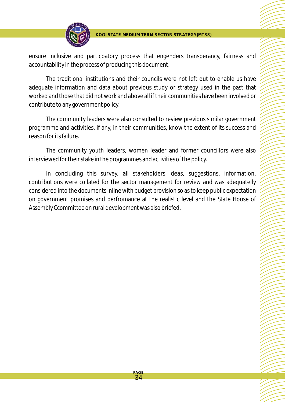

ensure inclusive and particpatory process that engenders transperancy, fairness and accountability in the process of producing this document.

The traditional institutions and their councils were not left out to enable us have adequate information and data about previous study or strategy used in the past that worked and those that did not work and above all if their communities have been involved or contribute to any government policy.

The community leaders were also consulted to review previous similar government programme and activities, if any, in their communities, know the extent of its success and reason for its failure.

The community youth leaders, women leader and former councillors were also interviewed for their stake in the programmes and activities of the policy.

In concluding this survey, all stakeholders ideas, suggestions, information, contributions were collated for the sector management for review and was adequatelly considered into the documents inline with budget provision so as to keep public expectation on government promises and perfromance at the realistic level and the State House of Assembly Ccommittee on rural development was also briefed.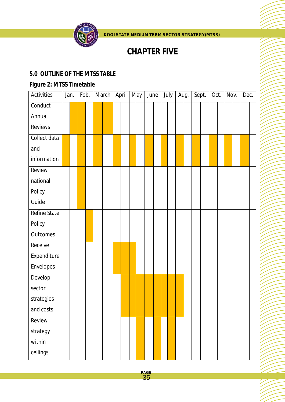

# **CHAPTER FIVE**

#### **5.0 OUTLINE OF THE MTSS TABLE**

### *Figure 2: MTSS Timetable*

| Activities   | Jan. | Feb. |  | March | April | May | June |  | July | Aug. |  | Sept. | Oct. | Nov. | Dec. |  |
|--------------|------|------|--|-------|-------|-----|------|--|------|------|--|-------|------|------|------|--|
| Conduct      |      |      |  |       |       |     |      |  |      |      |  |       |      |      |      |  |
| Annual       |      |      |  |       |       |     |      |  |      |      |  |       |      |      |      |  |
| Reviews      |      |      |  |       |       |     |      |  |      |      |  |       |      |      |      |  |
| Collect data |      |      |  |       |       |     |      |  |      |      |  |       |      |      |      |  |
| and          |      |      |  |       |       |     |      |  |      |      |  |       |      |      |      |  |
| information  |      |      |  |       |       |     |      |  |      |      |  |       |      |      |      |  |
| Review       |      |      |  |       |       |     |      |  |      |      |  |       |      |      |      |  |
| national     |      |      |  |       |       |     |      |  |      |      |  |       |      |      |      |  |
| Policy       |      |      |  |       |       |     |      |  |      |      |  |       |      |      |      |  |
| Guide        |      |      |  |       |       |     |      |  |      |      |  |       |      |      |      |  |
| Refine State |      |      |  |       |       |     |      |  |      |      |  |       |      |      |      |  |
| Policy       |      |      |  |       |       |     |      |  |      |      |  |       |      |      |      |  |
| Outcomes     |      |      |  |       |       |     |      |  |      |      |  |       |      |      |      |  |
| Receive      |      |      |  |       |       |     |      |  |      |      |  |       |      |      |      |  |
| Expenditure  |      |      |  |       |       |     |      |  |      |      |  |       |      |      |      |  |
| Envelopes    |      |      |  |       |       |     |      |  |      |      |  |       |      |      |      |  |
| Develop      |      |      |  |       |       |     |      |  |      |      |  |       |      |      |      |  |
| sector       |      |      |  |       |       |     |      |  |      |      |  |       |      |      |      |  |
| strategies   |      |      |  |       |       |     |      |  |      |      |  |       |      |      |      |  |
| and costs    |      |      |  |       |       |     |      |  |      |      |  |       |      |      |      |  |
| Review       |      |      |  |       |       |     |      |  |      |      |  |       |      |      |      |  |
| strategy     |      |      |  |       |       |     |      |  |      |      |  |       |      |      |      |  |
| within       |      |      |  |       |       |     |      |  |      |      |  |       |      |      |      |  |
| ceilings     |      |      |  |       |       |     |      |  |      |      |  |       |      |      |      |  |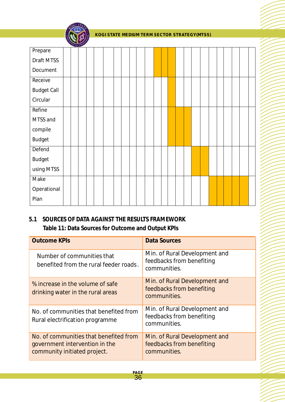

| Prepare            |  |  |  |  |  |  |  |  |  |  |  |  |
|--------------------|--|--|--|--|--|--|--|--|--|--|--|--|
| Draft MTSS         |  |  |  |  |  |  |  |  |  |  |  |  |
| Document           |  |  |  |  |  |  |  |  |  |  |  |  |
| Receive            |  |  |  |  |  |  |  |  |  |  |  |  |
| <b>Budget Call</b> |  |  |  |  |  |  |  |  |  |  |  |  |
| Circular           |  |  |  |  |  |  |  |  |  |  |  |  |
| Refine             |  |  |  |  |  |  |  |  |  |  |  |  |
| MTSS and           |  |  |  |  |  |  |  |  |  |  |  |  |
| compile            |  |  |  |  |  |  |  |  |  |  |  |  |
| <b>Budget</b>      |  |  |  |  |  |  |  |  |  |  |  |  |
| Defend             |  |  |  |  |  |  |  |  |  |  |  |  |
| <b>Budget</b>      |  |  |  |  |  |  |  |  |  |  |  |  |
| using MTSS         |  |  |  |  |  |  |  |  |  |  |  |  |
| Make               |  |  |  |  |  |  |  |  |  |  |  |  |
| Operational        |  |  |  |  |  |  |  |  |  |  |  |  |
| Plan               |  |  |  |  |  |  |  |  |  |  |  |  |

#### **5.1 SOURCES OF DATA AGAINST THE RESULTS FRAMEWORK Table 11: Data Sources for Outcome and Output KPIs**

| <b>Outcome KPIs</b>                                                                                      | <b>Data Sources</b>                                                        |
|----------------------------------------------------------------------------------------------------------|----------------------------------------------------------------------------|
| Number of communities that<br>benefited from the rural feeder roads.                                     | Min. of Rural Development and<br>feedbacks from benefiting<br>communities. |
| % increase in the volume of safe<br>drinking water in the rural areas                                    | Min. of Rural Development and<br>feedbacks from benefiting<br>communities. |
| No. of communities that benefited from<br>Rural electrification programme                                | Min. of Rural Development and<br>feedbacks from benefiting<br>communities. |
| No. of communities that benefited from<br>government intervention in the<br>community initiated project. | Min. of Rural Development and<br>feedbacks from benefiting<br>communities. |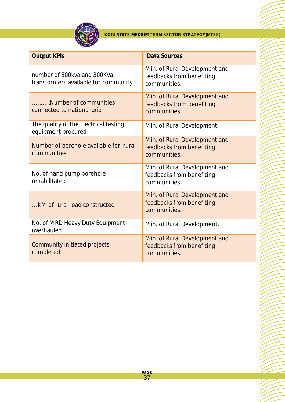

| <b>Output KPIs</b>                                                  | <b>Data Sources</b>                                                        |
|---------------------------------------------------------------------|----------------------------------------------------------------------------|
| number of 500kva and 300KVa<br>transformers available for community | Min. of Rural Development and<br>feedbacks from benefiting<br>communities. |
| Number of communities<br>connected to national grid                 | Min. of Rural Development and<br>feedbacks from benefiting<br>communities. |
| The quality of the Electrical testing<br>equipment procured         | Min. of Rural Development.                                                 |
| Number of borehole available for rural<br>communities               | Min. of Rural Development and<br>feedbacks from benefiting<br>communities. |
| No. of hand pump borehole<br>rehabilitated                          | Min. of Rural Development and<br>feedbacks from benefiting<br>communities. |
| KM of rural road constructed                                        | Min. of Rural Development and<br>feedbacks from benefiting<br>communities. |
| No. of MRD Heavy Duty Equipment<br>overhauled                       | Min. of Rural Development.                                                 |
| <b>Community initiated projects</b><br>completed                    | Min. of Rural Development and<br>feedbacks from benefiting<br>communities. |